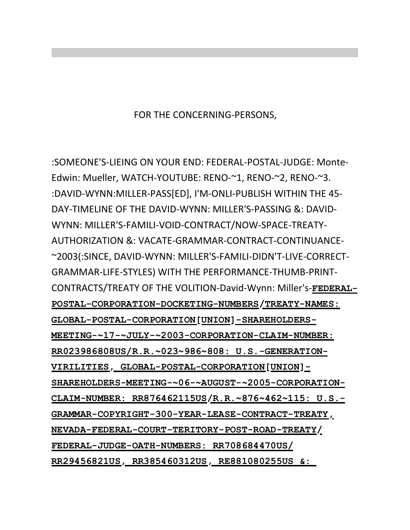FOR THE CONCERNING-PERSONS,

:SOMEONE'S-LIEING ON YOUR END: FEDERAL-POSTAL-JUDGE: Monte-Edwin: Mueller, WATCH-YOUTUBE: RENO-~1, RENO-~2, RENO-~3. :DAVID-WYNN:MILLER-PASS[ED], I'M-ONLI-PUBLISH WITHIN THE 45-DAY-TIMELINE OF THE DAVID-WYNN: MILLER'S-PASSING &: DAVID-WYNN: MILLER'S-FAMILI-VOID-CONTRACT/NOW-SPACE-TREATY-AUTHORIZATION &: VACATE-GRAMMAR-CONTRACT-CONTINUANCE- ~2003(:SINCE, DAVID-WYNN: MILLER'S-FAMILI-DIDN'T-LIVE-CORRECT-GRAMMAR-LIFE-STYLES) WITH THE PERFORMANCE-THUMB-PRINT-CONTRACTS/TREATY OF THE VOLITION-David-Wynn: Miller's-FEDERAL-**POSTAL-CORPORATION-DOCKETING-NUMBERS/TREATY-NAMES: GLOBAL-POSTAL-CORPORATION[UNION]-SHAREHOLDERS-MEETING-~17-~JULY-~2003-CORPORATION-CLAIM-NUMBER: RR023986808US/R.R.~023~986~808: U.S.-GENERATION-VIRILITIES, GLOBAL-POSTAL-CORPORATION[UNION]- SHAREHOLDERS-MEETING-~06-~AUGUST-~2005-CORPORATION-CLAIM-NUMBER: RR876462115US/R.R.~876~462~115: U.S.- GRAMMAR-COPYRIGHT-300-YEAR-LEASE-CONTRACT-TREATY, NEVADA-FEDERAL-COURT-TERITORY-POST-ROAD-TREATY/ FEDERAL-JUDGE-OATH-NUMBERS: RR708684470US/ RR29456821US, RR385460312US, RE881080255US &:**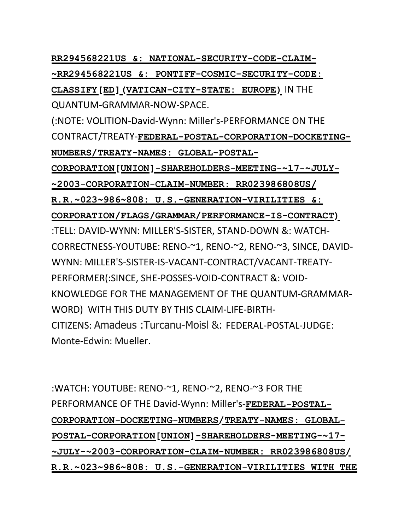**RR294568221US &: NATIONAL-SECURITY-CODE-CLAIM- ~RR294568221US &: PONTIFF-COSMIC-SECURITY-CODE: CLASSIFY[ED](VATICAN-CITY-STATE: EUROPE)** IN THE QUANTUM-GRAMMAR-NOW-SPACE. (:NOTE: VOLITION-David-Wynn: Miller's-PERFORMANCE ON THE CONTRACT/TREATY-**FEDERAL-POSTAL-CORPORATION-DOCKETING-NUMBERS/TREATY-NAMES: GLOBAL-POSTAL-CORPORATION[UNION]-SHAREHOLDERS-MEETING-~17-~JULY- ~2003-CORPORATION-CLAIM-NUMBER: RR023986808US/ R.R.~023~986~808: U.S.-GENERATION-VIRILITIES &: CORPORATION/FLAGS/GRAMMAR/PERFORMANCE-IS-CONTRACT)** :TELL: DAVID-WYNN: MILLER'S-SISTER, STAND-DOWN &: WATCH-CORRECTNESS-YOUTUBE: RENO-~1, RENO-~2, RENO-~3, SINCE, DAVID-WYNN: MILLER'S-SISTER-IS-VACANT-CONTRACT/VACANT-TREATY-PERFORMER(:SINCE, SHE-POSSES-VOID-CONTRACT &: VOID-KNOWLEDGE FOR THE MANAGEMENT OF THE QUANTUM-GRAMMAR-WORD) WITH THIS DUTY BY THIS CLAIM-LIFE-BIRTH-CITIZENS: Amadeus :Turcanu-Moisl &: FEDERAL-POSTAL-JUDGE: Monte-Edwin: Mueller.

:WATCH: YOUTUBE: RENO-~1, RENO-~2, RENO-~3 FOR THE PERFORMANCE OF THE David-Wynn: Miller's-FEDERAL-POSTAL-**CORPORATION-DOCKETING-NUMBERS/TREATY-NAMES: GLOBAL-POSTAL-CORPORATION[UNION]-SHAREHOLDERS-MEETING-~17- ~JULY-~2003-CORPORATION-CLAIM-NUMBER: RR023986808US/ R.R.~023~986~808: U.S.-GENERATION-VIRILITIES WITH THE**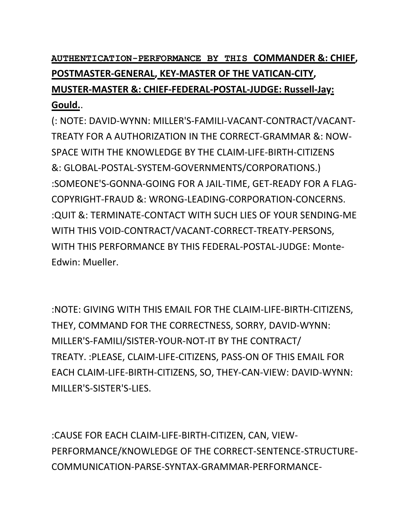**AUTHENTICATION-PERFORMANCE BY THIS COMMANDER &: CHIEF,** POSTMASTER-GENERAL, KEY-MASTER OF THE VATICAN-CITY, **MUSTER-MASTER &: CHIEF-FEDERAL-POSTAL-JUDGE: Russell-Jay: Gould.**.

(: NOTE: DAVID-WYNN: MILLER'S-FAMILI-VACANT-CONTRACT/VACANT-TREATY FOR A AUTHORIZATION IN THE CORRECT-GRAMMAR &: NOW-SPACE WITH THE KNOWLEDGE BY THE CLAIM-LIFE-BIRTH-CITIZENS &: GLOBAL-POSTAL-SYSTEM-GOVERNMENTS/CORPORATIONS.) : SOMEONE'S-GONNA-GOING FOR A JAIL-TIME, GET-READY FOR A FLAG-COPYRIGHT-FRAUD &: WRONG-LEADING-CORPORATION-CONCERNS. :QUIT &: TERMINATE-CONTACT WITH SUCH LIES OF YOUR SENDING-ME WITH THIS VOID-CONTRACT/VACANT-CORRECT-TREATY-PERSONS, WITH THIS PERFORMANCE BY THIS FEDERAL-POSTAL-JUDGE: Monte-Edwin: Mueller.

: NOTE: GIVING WITH THIS EMAIL FOR THE CLAIM-LIFE-BIRTH-CITIZENS, THEY, COMMAND FOR THE CORRECTNESS, SORRY, DAVID-WYNN: MILLER'S-FAMILI/SISTER-YOUR-NOT-IT BY THE CONTRACT/ TREATY. : PLEASE, CLAIM-LIFE-CITIZENS, PASS-ON OF THIS EMAIL FOR EACH CLAIM-LIFE-BIRTH-CITIZENS, SO, THEY-CAN-VIEW: DAVID-WYNN: MILLER'S-SISTER'S-LIES.

:CAUSE FOR EACH CLAIM-LIFE-BIRTH-CITIZEN, CAN, VIEW-PERFORMANCE/KNOWLEDGE OF THE CORRECT-SENTENCE-STRUCTURE-COMMUNICATION-PARSE-SYNTAX-GRAMMAR-PERFORMANCE-